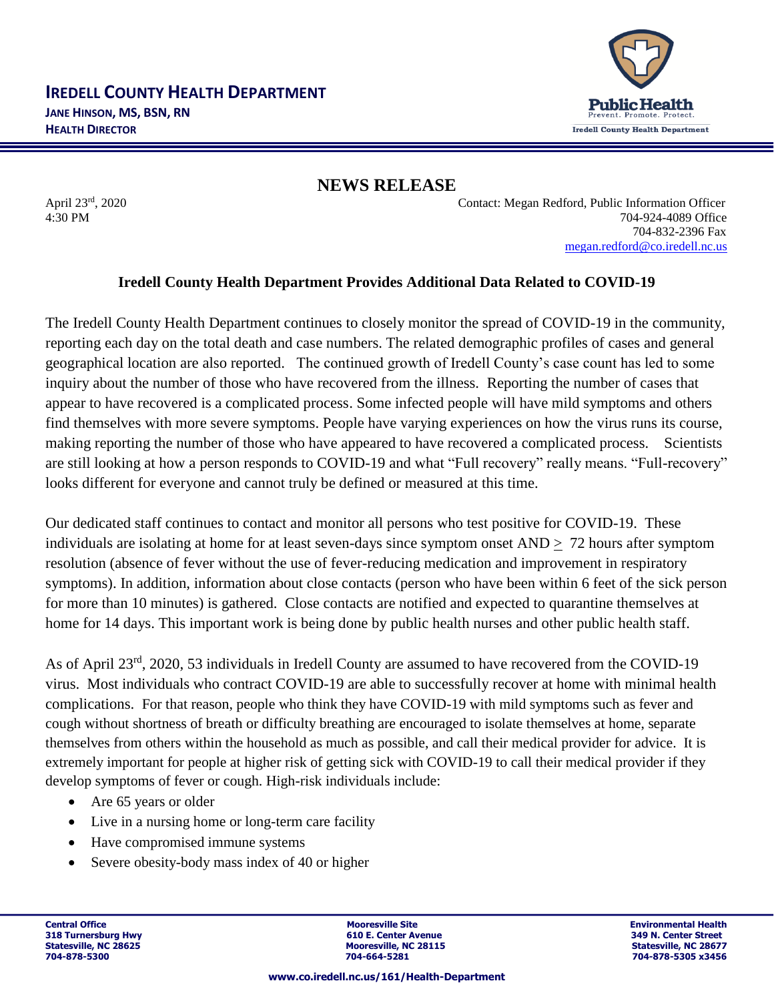

**NEWS RELEASE**

April 23rd, 2020 Contact: Megan Redford, Public Information Officer 4:30 PM 704-924-4089 Office 704-832-2396 Fax [megan.redford@co.iredell.nc.us](mailto:megan.redford@co.iredell.nc.us)

## **Iredell County Health Department Provides Additional Data Related to COVID-19**

The Iredell County Health Department continues to closely monitor the spread of COVID-19 in the community, reporting each day on the total death and case numbers. The related demographic profiles of cases and general geographical location are also reported. The continued growth of Iredell County's case count has led to some inquiry about the number of those who have recovered from the illness. Reporting the number of cases that appear to have recovered is a complicated process. Some infected people will have mild symptoms and others find themselves with more severe symptoms. People have varying experiences on how the virus runs its course, making reporting the number of those who have appeared to have recovered a complicated process. Scientists are still looking at how a person responds to COVID-19 and what "Full recovery" really means. "Full-recovery" looks different for everyone and cannot truly be defined or measured at this time.

Our dedicated staff continues to contact and monitor all persons who test positive for COVID-19. These individuals are isolating at home for at least seven-days since symptom onset AND > 72 hours after symptom resolution (absence of fever without the use of fever-reducing medication and improvement in respiratory symptoms). In addition, information about close contacts (person who have been within 6 feet of the sick person for more than 10 minutes) is gathered. Close contacts are notified and expected to quarantine themselves at home for 14 days. This important work is being done by public health nurses and other public health staff.

As of April 23rd, 2020, 53 individuals in Iredell County are assumed to have recovered from the COVID-19 virus. Most individuals who contract COVID-19 are able to successfully recover at home with minimal health complications. For that reason, people who think they have COVID-19 with mild symptoms such as fever and cough without shortness of breath or difficulty breathing are encouraged to isolate themselves at home, separate themselves from others within the household as much as possible, and call their medical provider for advice. It is extremely important for people at higher risk of getting sick with COVID-19 to call their medical provider if they develop symptoms of fever or cough. High-risk individuals include:

- Are 65 years or older
- Live in a nursing home or long-term care facility
- Have compromised immune systems
- Severe obesity-body mass index of 40 or higher

**Central Office Mooresville Site Environmental Health 318 Turnersburg Hwy 1988 1998 1999 1999 1999 1999 1999 10:31 1999 1999 10:42 11:42 11:42 11:42 11:42 11:42 11:42 11:42 11:42 11:42 11:42 11:42 11:42 11:42 11:42 11:42 11:42 11:42 11:42 11:42 11:42 11:42 11:42 11:42 11:42 Mooresville, NC 28115 Mooresville, NC 28677**<br> **Statesville, NC 28115**<br> **Statesville, NC 28677 704-878-5300 704-664-5281 704-878-5305 x3456**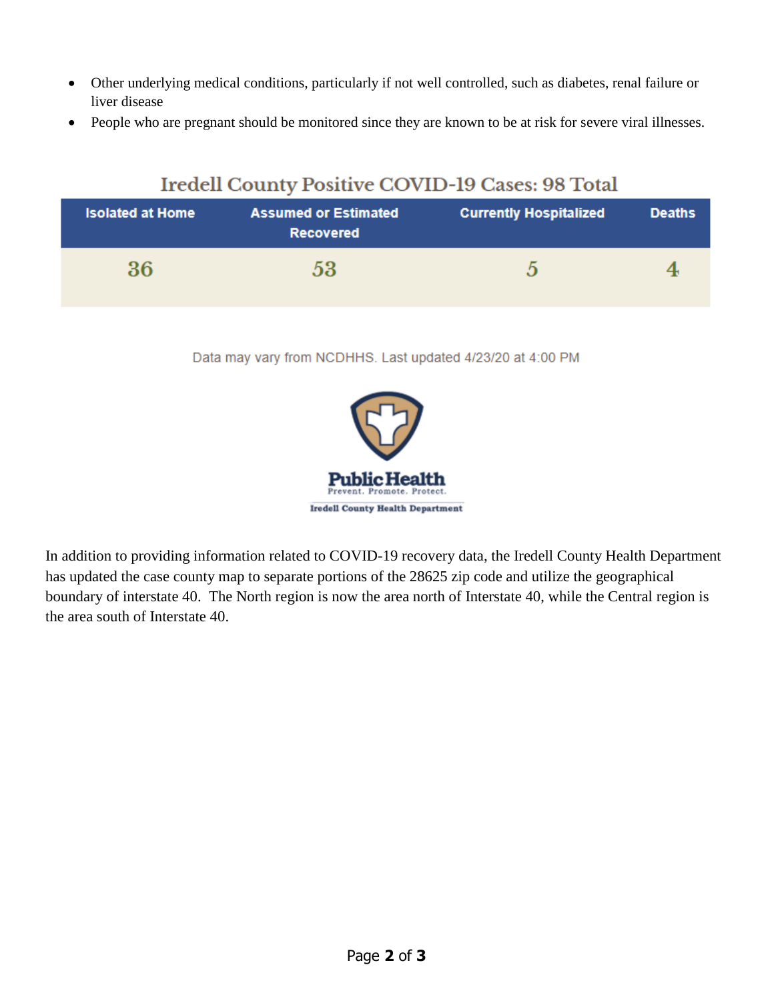- Other underlying medical conditions, particularly if not well controlled, such as diabetes, renal failure or liver disease
- People who are pregnant should be monitored since they are known to be at risk for severe viral illnesses.

## Iredell County Positive COVID-19 Cases: 98 Total

| <b>Isolated at Home</b> | <b>Assumed or Estimated</b><br><b>Recovered</b> | <b>Currently Hospitalized</b> | <b>Deaths</b> |
|-------------------------|-------------------------------------------------|-------------------------------|---------------|
| 36                      | 53                                              |                               |               |

Data may vary from NCDHHS. Last updated 4/23/20 at 4:00 PM



In addition to providing information related to COVID-19 recovery data, the Iredell County Health Department has updated the case county map to separate portions of the 28625 zip code and utilize the geographical boundary of interstate 40. The North region is now the area north of Interstate 40, while the Central region is the area south of Interstate 40.